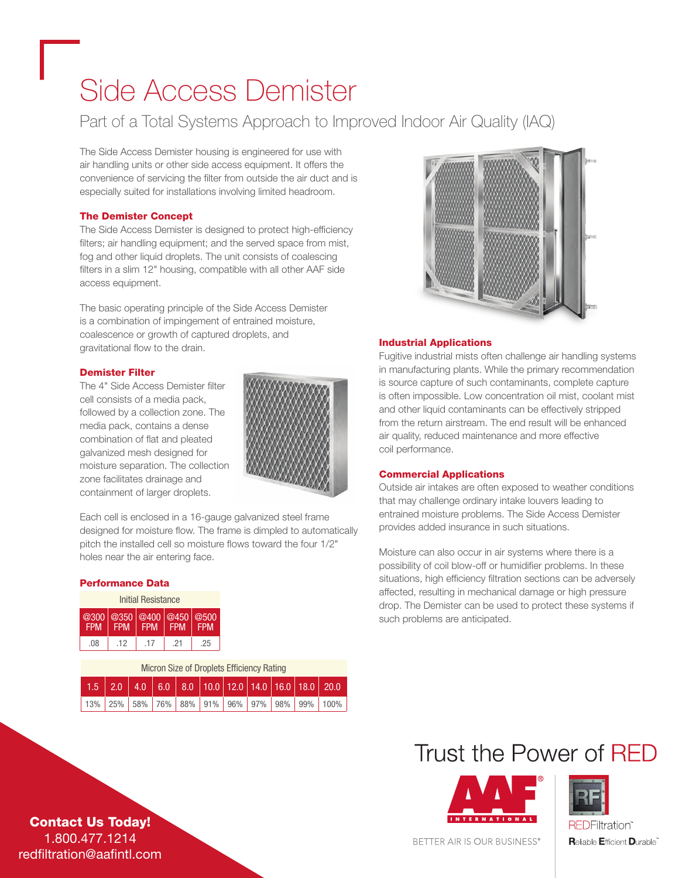# Side Access Demister

### Part of a Total Systems Approach to Improved Indoor Air Quality (IAQ)

The Side Access Demister housing is engineered for use with air handling units or other side access equipment. It offers the convenience of servicing the filter from outside the air duct and is especially suited for installations involving limited headroom.

#### The Demister Concept

The Side Access Demister is designed to protect high-efficiency filters; air handling equipment; and the served space from mist, fog and other liquid droplets. The unit consists of coalescing filters in a slim 12" housing, compatible with all other AAF side access equipment.

The basic operating principle of the Side Access Demister is a combination of impingement of entrained moisture, coalescence or growth of captured droplets, and gravitational flow to the drain.

#### Demister Filter

The 4" Side Access Demister filter cell consists of a media pack, followed by a collection zone. The media pack, contains a dense combination of flat and pleated galvanized mesh designed for moisture separation. The collection zone facilitates drainage and containment of larger droplets.



Each cell is enclosed in a 16-gauge galvanized steel frame designed for moisture flow. The frame is dimpled to automatically pitch the installed cell so moisture flows toward the four 1/2" holes near the air entering face.

#### Performance Data

| Initial Resistance |                                                                                                   |            |            |            |  |  |  |
|--------------------|---------------------------------------------------------------------------------------------------|------------|------------|------------|--|--|--|
| @300<br><b>FPM</b> | $\left \right.$ @350 $\left \right.$ @400 $\left \right.$ @450 $\left \right.$ @500<br><b>FPM</b> | <b>FPM</b> | <b>FPM</b> | <b>FPM</b> |  |  |  |
| .08                | .12                                                                                               | .17        | -21        | .25        |  |  |  |

| Micron Size of Droplets Efficiency Rating |     |  |  |  |  |  |  |  |                                                                         |
|-------------------------------------------|-----|--|--|--|--|--|--|--|-------------------------------------------------------------------------|
|                                           |     |  |  |  |  |  |  |  | $1.5$   2.0   4.0   6.0   8.0   10.0   12.0   14.0   16.0   18.0   20.0 |
| 13%                                       | 25% |  |  |  |  |  |  |  | 58% 76% 88% 91% 96% 97% 98% 99% 100%                                    |



#### Industrial Applications

Fugitive industrial mists often challenge air handling systems in manufacturing plants. While the primary recommendation is source capture of such contaminants, complete capture is often impossible. Low concentration oil mist, coolant mist and other liquid contaminants can be effectively stripped from the return airstream. The end result will be enhanced air quality, reduced maintenance and more effective coil performance.

#### Commercial Applications

Outside air intakes are often exposed to weather conditions that may challenge ordinary intake louvers leading to entrained moisture problems. The Side Access Demister provides added insurance in such situations.

Moisture can also occur in air systems where there is a possibility of coil blow-off or humidifier problems. In these situations, high efficiency filtration sections can be adversely affected, resulting in mechanical damage or high pressure drop. The Demister can be used to protect these systems if such problems are anticipated.

### Trust the Power of RED





Contact Us Today! 1.800.477.1214 redfiltration@aafintl.com

#### BETTER AIR IS OUR BUSINESS®

**Reliable Efficient Durable**